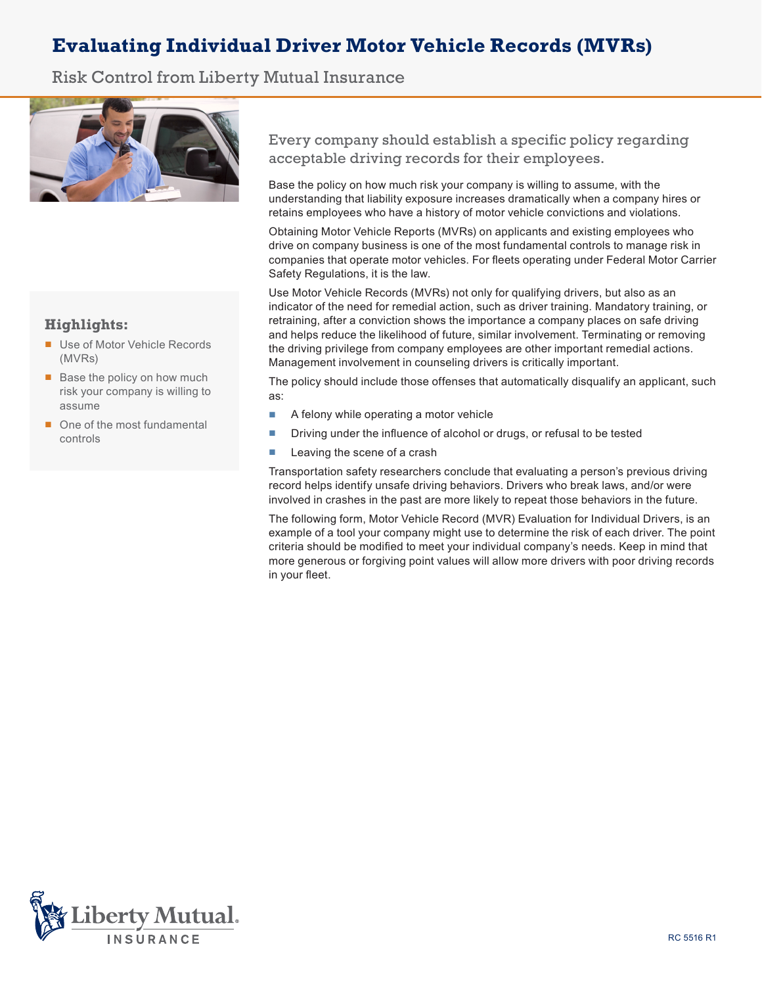# **Evaluating Individual Driver Motor Vehicle Records (MVRs)**

Risk Control from Liberty Mutual Insurance



## **Highlights:**

- Use of Motor Vehicle Records (MVRs)
- Base the policy on how much risk your company is willing to assume
- One of the most fundamental controls

Every company should establish a specific policy regarding acceptable driving records for their employees.

Base the policy on how much risk your company is willing to assume, with the understanding that liability exposure increases dramatically when a company hires or retains employees who have a history of motor vehicle convictions and violations.

Obtaining Motor Vehicle Reports (MVRs) on applicants and existing employees who drive on company business is one of the most fundamental controls to manage risk in companies that operate motor vehicles. For fleets operating under Federal Motor Carrier Safety Regulations, it is the law.

Use Motor Vehicle Records (MVRs) not only for qualifying drivers, but also as an indicator of the need for remedial action, such as driver training. Mandatory training, or retraining, after a conviction shows the importance a company places on safe driving and helps reduce the likelihood of future, similar involvement. Terminating or removing the driving privilege from company employees are other important remedial actions. Management involvement in counseling drivers is critically important.

The policy should include those offenses that automatically disqualify an applicant, such as:

- A felony while operating a motor vehicle
- Driving under the influence of alcohol or drugs, or refusal to be tested
- Leaving the scene of a crash

Transportation safety researchers conclude that evaluating a person's previous driving record helps identify unsafe driving behaviors. Drivers who break laws, and/or were involved in crashes in the past are more likely to repeat those behaviors in the future.

The following form, Motor Vehicle Record (MVR) Evaluation for Individual Drivers, is an example of a tool your company might use to determine the risk of each driver. The point criteria should be modified to meet your individual company's needs. Keep in mind that more generous or forgiving point values will allow more drivers with poor driving records in your fleet.

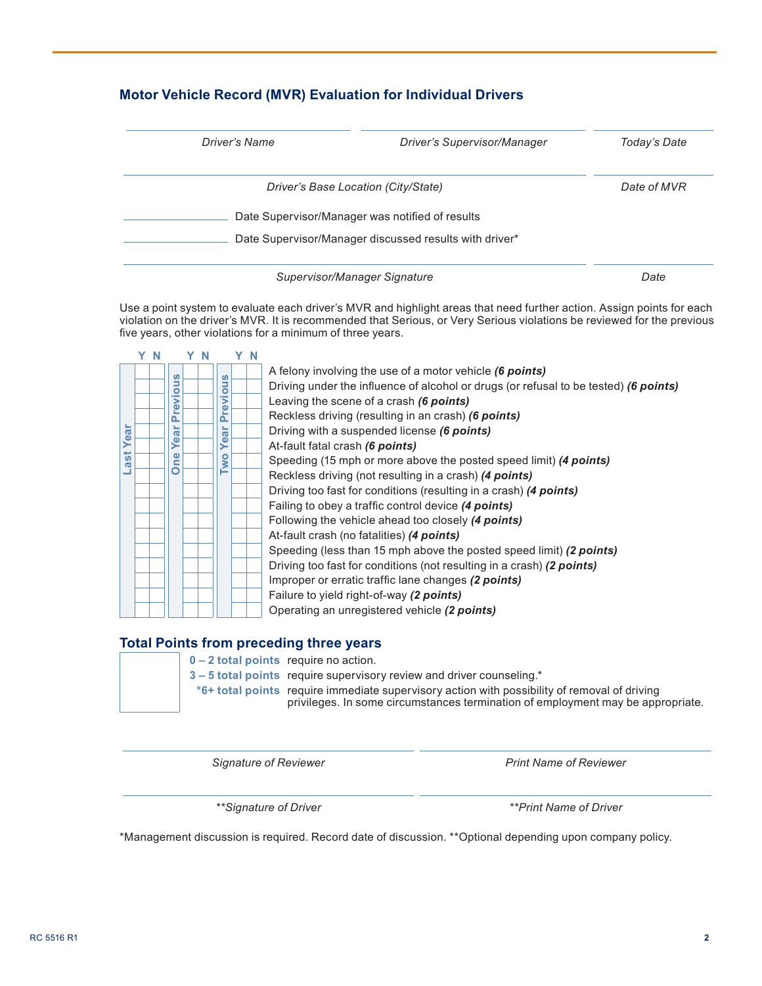## **Motor Vehicle Record (MVR) Evaluation for Individual Drivers**

| Driver's Name                       | Driver's Supervisor/Manager                            | Today's Date |
|-------------------------------------|--------------------------------------------------------|--------------|
| Driver's Base Location (City/State) |                                                        | Date of MVR  |
|                                     | Date Supervisor/Manager was notified of results        |              |
|                                     | Date Supervisor/Manager discussed results with driver* |              |

*Supervisor/Manager Signature Date*

Use a point system to evaluate each driver's MVR and highlight areas that need further action. Assign points for each violation on the driver's MVR. It is recommended that Serious, or Very Serious violations be reviewed for the previous five years, other violations for a minimum of three years.



## **Total Points from preceding three years**



**0 – 2 total points** require no action.

**3 – 5 total points** require supervisory review and driver counseling.\*

**\*6+ total points** require immediate supervisory action with possibility of removal of driving privileges. In some circumstances termination of employment may be appropriate.

*Signature of Reviewer Print Name of Reviewer*

*\*\*Signature of Driver \*\*Print Name of Driver*

\*Management discussion is required. Record date of discussion. \*\*Optional depending upon company policy.